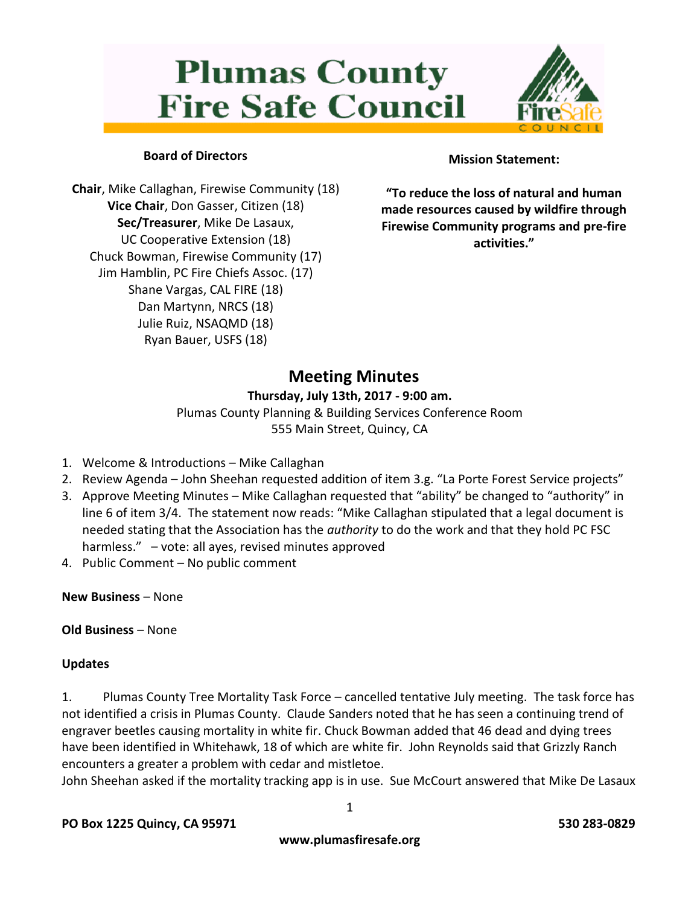# **Plumas County Fire Safe Council**



# **Board of Directors**

**Chair**, Mike Callaghan, Firewise Community (18) **Vice Chair**, Don Gasser, Citizen (18) **Sec/Treasurer**, Mike De Lasaux, UC Cooperative Extension (18) Chuck Bowman, Firewise Community (17) Jim Hamblin, PC Fire Chiefs Assoc. (17) Shane Vargas, CAL FIRE (18) Dan Martynn, NRCS (18) Julie Ruiz, NSAQMD (18) Ryan Bauer, USFS (18)

# **Mission Statement:**

**"To reduce the loss of natural and human made resources caused by wildfire through Firewise Community programs and pre-fire activities."**

# **Meeting Minutes**

### **Thursday, July 13th, 2017 - 9:00 am.**

Plumas County Planning & Building Services Conference Room 555 Main Street, Quincy, CA

- 1. Welcome & Introductions Mike Callaghan
- 2. Review Agenda John Sheehan requested addition of item 3.g. "La Porte Forest Service projects"
- 3. Approve Meeting Minutes Mike Callaghan requested that "ability" be changed to "authority" in line 6 of item 3/4. The statement now reads: "Mike Callaghan stipulated that a legal document is needed stating that the Association has the *authority* to do the work and that they hold PC FSC harmless." – vote: all ayes, revised minutes approved
- 4. Public Comment No public comment

**New Business** – None

**Old Business** – None

# **Updates**

1. Plumas County Tree Mortality Task Force – cancelled tentative July meeting. The task force has not identified a crisis in Plumas County. Claude Sanders noted that he has seen a continuing trend of engraver beetles causing mortality in white fir. Chuck Bowman added that 46 dead and dying trees have been identified in Whitehawk, 18 of which are white fir. John Reynolds said that Grizzly Ranch encounters a greater a problem with cedar and mistletoe.

John Sheehan asked if the mortality tracking app is in use. Sue McCourt answered that Mike De Lasaux

1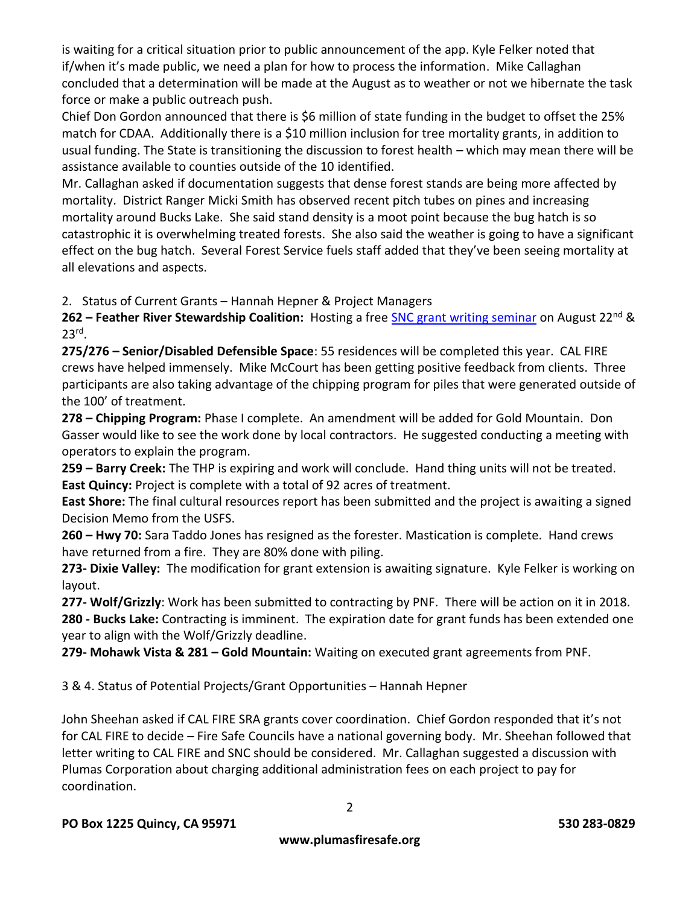is waiting for a critical situation prior to public announcement of the app. Kyle Felker noted that if/when it's made public, we need a plan for how to process the information. Mike Callaghan concluded that a determination will be made at the August as to weather or not we hibernate the task force or make a public outreach push.

Chief Don Gordon announced that there is \$6 million of state funding in the budget to offset the 25% match for CDAA. Additionally there is a \$10 million inclusion for tree mortality grants, in addition to usual funding. The State is transitioning the discussion to forest health – which may mean there will be assistance available to counties outside of the 10 identified.

Mr. Callaghan asked if documentation suggests that dense forest stands are being more affected by mortality. District Ranger Micki Smith has observed recent pitch tubes on pines and increasing mortality around Bucks Lake. She said stand density is a moot point because the bug hatch is so catastrophic it is overwhelming treated forests. She also said the weather is going to have a significant effect on the bug hatch. Several Forest Service fuels staff added that they've been seeing mortality at all elevations and aspects.

2. Status of Current Grants – Hannah Hepner & Project Managers

**262 – Feather River Stewardship Coalition:** Hosting a free [SNC grant writing seminar](https://www.eventbrite.com/e/introduction-to-grant-writing-tickets-33132565395) on August 22nd & 23rd .

**275/276 – Senior/Disabled Defensible Space**: 55 residences will be completed this year. CAL FIRE crews have helped immensely. Mike McCourt has been getting positive feedback from clients. Three participants are also taking advantage of the chipping program for piles that were generated outside of the 100' of treatment.

**278 – Chipping Program:** Phase I complete. An amendment will be added for Gold Mountain. Don Gasser would like to see the work done by local contractors. He suggested conducting a meeting with operators to explain the program.

**259 – Barry Creek:** The THP is expiring and work will conclude. Hand thing units will not be treated. **East Quincy:** Project is complete with a total of 92 acres of treatment.

**East Shore:** The final cultural resources report has been submitted and the project is awaiting a signed Decision Memo from the USFS.

**260 – Hwy 70:** Sara Taddo Jones has resigned as the forester. Mastication is complete. Hand crews have returned from a fire. They are 80% done with piling.

**273- Dixie Valley:** The modification for grant extension is awaiting signature. Kyle Felker is working on layout.

**277- Wolf/Grizzly**: Work has been submitted to contracting by PNF. There will be action on it in 2018. **280 - Bucks Lake:** Contracting is imminent. The expiration date for grant funds has been extended one year to align with the Wolf/Grizzly deadline.

**279- Mohawk Vista & 281 – Gold Mountain:** Waiting on executed grant agreements from PNF.

3 & 4. Status of Potential Projects/Grant Opportunities – Hannah Hepner

John Sheehan asked if CAL FIRE SRA grants cover coordination. Chief Gordon responded that it's not for CAL FIRE to decide – Fire Safe Councils have a national governing body. Mr. Sheehan followed that letter writing to CAL FIRE and SNC should be considered. Mr. Callaghan suggested a discussion with Plumas Corporation about charging additional administration fees on each project to pay for coordination.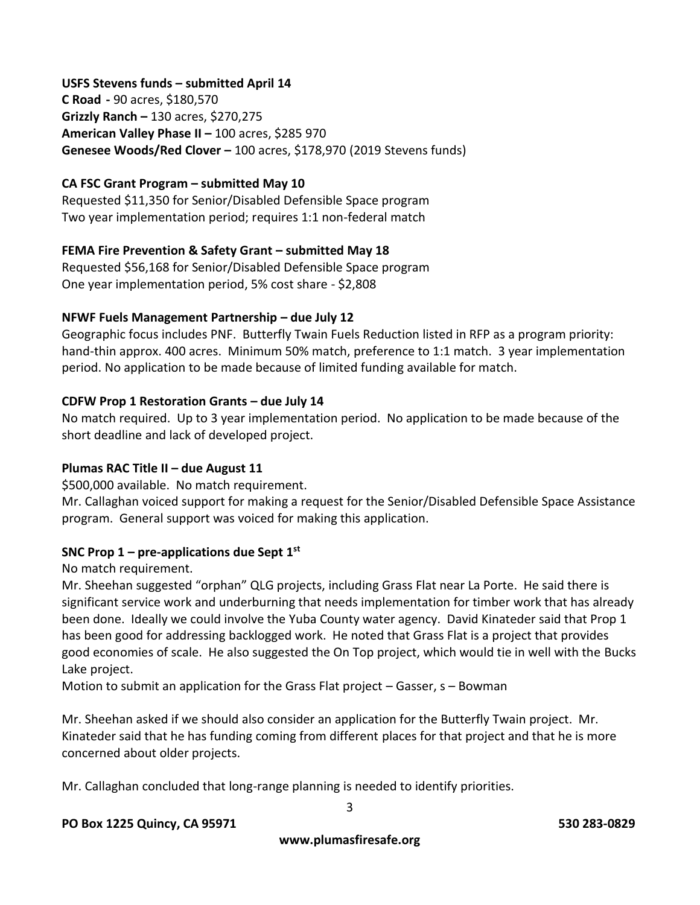#### **USFS Stevens funds – submitted April 14**

**C Road -** 90 acres, \$180,570 **Grizzly Ranch –** 130 acres, \$270,275 **American Valley Phase II –** 100 acres, \$285 970 **Genesee Woods/Red Clover –** 100 acres, \$178,970 (2019 Stevens funds)

#### **CA FSC Grant Program – submitted May 10**

Requested \$11,350 for Senior/Disabled Defensible Space program Two year implementation period; requires 1:1 non-federal match

#### **FEMA Fire Prevention & Safety Grant – submitted May 18**

Requested \$56,168 for Senior/Disabled Defensible Space program One year implementation period, 5% cost share - \$2,808

#### **NFWF Fuels Management Partnership – due July 12**

Geographic focus includes PNF. Butterfly Twain Fuels Reduction listed in RFP as a program priority: hand-thin approx. 400 acres. Minimum 50% match, preference to 1:1 match. 3 year implementation period. No application to be made because of limited funding available for match.

#### **CDFW Prop 1 Restoration Grants – due July 14**

No match required. Up to 3 year implementation period. No application to be made because of the short deadline and lack of developed project.

#### **Plumas RAC Title II – due August 11**

\$500,000 available. No match requirement.

Mr. Callaghan voiced support for making a request for the Senior/Disabled Defensible Space Assistance program. General support was voiced for making this application.

#### **SNC Prop 1 – pre-applications due Sept 1st**

No match requirement.

Mr. Sheehan suggested "orphan" QLG projects, including Grass Flat near La Porte. He said there is significant service work and underburning that needs implementation for timber work that has already been done. Ideally we could involve the Yuba County water agency. David Kinateder said that Prop 1 has been good for addressing backlogged work. He noted that Grass Flat is a project that provides good economies of scale. He also suggested the On Top project, which would tie in well with the Bucks Lake project.

Motion to submit an application for the Grass Flat project – Gasser, s – Bowman

Mr. Sheehan asked if we should also consider an application for the Butterfly Twain project. Mr. Kinateder said that he has funding coming from different places for that project and that he is more concerned about older projects.

Mr. Callaghan concluded that long-range planning is needed to identify priorities.